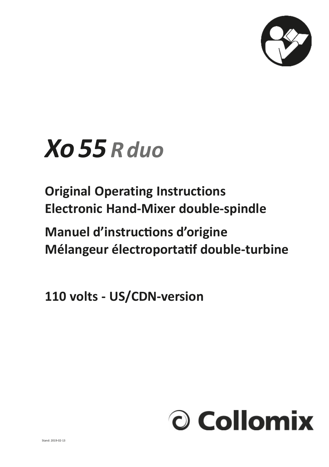

## *Xo 55 R duo*

**Original Operating Instructions Electronic Hand-Mixer double-spindle**

**Manuel d'instructions d'origine Mélangeur électroportatif double-turbine**

**110 volts - US/CDN-version**

# © Collomix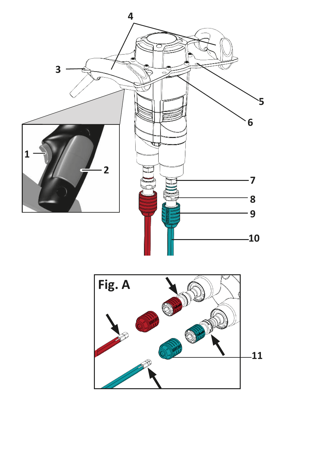

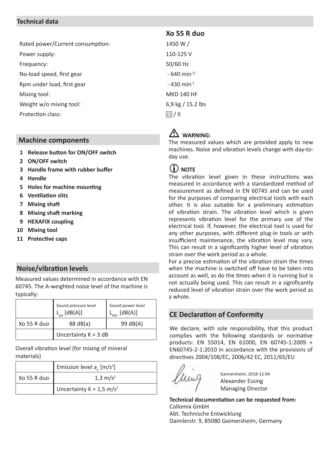#### **Technical data**

| Rated power/Current consumption: | 1450 W /       |
|----------------------------------|----------------|
| Power supply:                    | 110-125        |
| Frequency:                       | 50/60 Hz       |
| No-load speed, first gear        | - 640 mil      |
| Rpm under load, first gear       | - 430 mil      |
| Mixing tool:                     | <b>MKD 140</b> |
| Weight w/o mixing tool:          | 6,9 kg $/1$    |
| Protection class:                | $/ \parallel$  |

#### **Machine components**

- **1 Release button for ON/OFF switch**
- **2 ON/OFF switch**
- **3 Handle frame with rubber buffer**
- **4 Handle**
- **5 Holes for machine mounting**
- **6 Ventilation slits**
- **7 Mixing shaft**
- **8 Mixing shaft marking**
- **9 HEXAFIX coupling**
- **10 Mixing tool**
- **11 Protective caps**

#### **Noise/vibration levels**

Measured values determined in accordance with EN 60745. The A-weighted noise level of the machine is typically:

|             | Sound pressure level<br>$L_{pA}$ [dB(A)] | Sound power level<br>[dB(A)]<br>WA <sup>-</sup> |
|-------------|------------------------------------------|-------------------------------------------------|
| Xo 55 R duo | 88 dB(a)                                 | 99 dB(A)                                        |
|             | Uncertainty $K = 3$ dB                   |                                                 |

Overall vibration level (for mixing of mineral materials)

|             | Emission level $a_n$ [m/s <sup>2</sup> ] |  |
|-------------|------------------------------------------|--|
| Xo 55 R duo | 1.3 $m/s^2$                              |  |
|             | Uncertainty $K = 1.5$ m/s <sup>2</sup>   |  |

#### **Xo 55 R duo**

 $110 - 125$  V  $-640$  min<sup>-1/</sup>  $-430$  min<sup>-1</sup> MKD 140 HF 6.9 kg / 15.2 lbs

### **WARNING:**

The measured values which are provided apply to new machines. Noise and vibration levels change with day-today use.

#### **CD** NOTE

The vibration level given in these instructions was measured in accordance with a standardized method of measurement as defined in EN 60745 and can be used for the purposes of comparing electrical tools with each other. It is also suitable for a preliminary estimation of vibration strain. The vibration level which is given represents vibration level for the primary use of the electrical tool. If, however, the electrical tool is used for any other purposes, with different plug-in tools or with insufficient maintenance, the vibration level may vary. This can result in a significantly higher level of vibration strain over the work period as a whole.

For a precise estimation of the vibration strain the times when the machine is switched off have to be taken into account as well, as do the times when it is running but is not actually being used. This can result in a significantly reduced level of vibration strain over the work period as a whole.

#### **CE Declaration of Conformity**

We declare, with sole responsibility, that this product complies with the following standards or normative products: EN 55014, EN 61000, EN 60745-1:2009 + EN60745-2-1:2010 in accordance with the provisions of directives 2004/108/EC, 2006/42 EC, 2011/65/EU

Gaimersheim, 2018-12-04 Alexander Essing Managing Director

**Technical documentation can be requested from:** Collomix GmbH Abt. Technische Entwicklung Daimlerstr. 9, 85080 Gaimersheim, Germany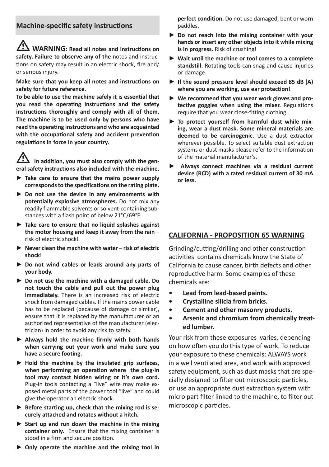**WARNING: Read all notes and instructions on safety. Failure to observe any of the** notes and instructions on safety may result in an electric shock, fire and/ or serious injury.

**Make sure that you keep all notes and instructions on safety for future reference.**

**To be able to use the machine safely it is essential that you read the operating instructions and the safety instructions thoroughly and comply with all of them. The machine is to be used only by persons who have read the operating instructions and who are acquainted with the occupational safety and accident prevention regulations in force in your country.**

 **In addition, you must also comply with the general safety instructions also included with the machine.**

- **► Take care to ensure that the mains power supply corresponds to the specifications on the rating plate.**
- **► Do not use the device in any environments with potentially explosive atmospheres.** Do not mix any readily flammable solvents or solvent-containing substances with a flash point of below 21°C/69°F.
- **► Take care to ensure that no liquid splashes against the motor housing and keep it away from the rain** – risk of electric shock!
- **► Never clean the machine with water risk of electric shock!**
- **► Do not wind cables or leads around any parts of your body.**
- **► Do not use the machine with a damaged cable. Do not touch the cable and pull out the power plug immediately.** There is an increased risk of electric shock from damaged cables. If the mains power cable has to be replaced (because of damage or similar), ensure that it is replaced by the manufacturer or an authorized representative of the manufacturer (electrician) in order to avoid any risk to safety.
- **► Always hold the machine firmly with both hands when carrying out your work and make sure you have a secure footing.**
- **► Hold the machine by the insulated grip surfaces, when performing an operation where the plug-in tool may contact hidden wiring or it's own cord.**  Plug-in tools contacting a "live" wire may make exposed metal parts of the power tool "live" and could give the operator an electric shock.
- **► Before starting up, check that the mixing rod is securely attached and rotates without a hitch.**
- **► Start up and run down the machine in the mixing container only.** Ensure that the mixing container is stood in a firm and secure position.
- **► Only operate the machine and the mixing tool in**

**perfect condition.** Do not use damaged, bent or worn paddles.

- **► Do not reach into the mixing container with your hands or insert any other objects into it while mixing is in progress.** Risk of crushing!
- **► Wait until the machine or tool comes to a complete standstill.** Rotating tools can snag and cause injuries or damage.
- **► If the sound pressure level should exceed 85 dB (A) where you are working, use ear protection!**
- **► We recommend that you wear work gloves and protective goggles when using the mixer.** Regulations require that you wear close-fitting clothing.
- **► To protect yourself from harmful dust while mixing, wear a dust mask. Some mineral materials are deemed to be carcinogenic.** Use a dust extractor wherever possible. To select suitable dust extraction systems or dust masks please refer to the information of the material manufacturer's.
- **► Always connect machines via a residual current device (RCD) with a rated residual current of 30 mA or less.**

#### **CALIFORNIA - PROPOSITION 65 WARNING**

Grinding/cutting/drilling and other construction activities contains chemicals know the State of California to cause cancer, birth defects and other reproductive harm. Some examples of these chemicals are:

- **Lead from lead-based paints.**
- **Crystalline silicia from bricks.**
- **Cement and other masonry products.**
- **Arsenic and chromium from chemically treated lumber.**

Your risk from these exposures varies, depending on how often you do this type of work. To reduce your exposure to these chemicals: ALWAYS work in a well ventilated area, and work with approved safety equipment, such as dust masks that are specially designed to filter out microscopic particles, or use an appropriate dust extraction system with micro part filter linked to the machine, to filter out microscopic particles.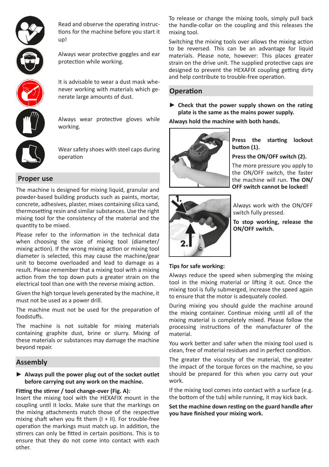

Read and observe the operating instructions for the machine before you start it up!

Always wear protective goggles and ear protection while working.

It is advisable to wear a dust mask whenever working with materials which generate large amounts of dust.



Always wear protective gloves while working.

Wear safety shoes with steel caps during operation

#### **Proper use**

The machine is designed for mixing liquid, granular and powder-based building products such as paints, mortar, concrete, adhesives, plaster, mixes containing silica sand, thermosetting resin and similar substances. Use the right mixing tool for the consistency of the material and the quantity to be mixed.

Please refer to the information in the technical data when choosing the size of mixing tool (diameter/ mixing action). If the wrong mixing action or mixing tool diameter is selected, this may cause the machine/gear unit to become overloaded and lead to damage as a result. Please remember that a mixing tool with a mixing action from the top down puts a greater strain on the electrical tool than one with the reverse mixing action.

Given the high torque levels generated by the machine, it must not be used as a power drill.

The machine must not be used for the preparation of foodstuffs.

The machine is not suitable for mixing materials containing graphite dust, brine or slurry. Mixing of these materials or substances may damage the machine beyond repair.

#### **Assembly**

#### **► Always pull the power plug out of the socket outlet before carrying out any work on the machine.**

#### **Fitting the stirrer / tool change-over (Fig. A):**

Insert the mixing tool with the HEXAFIX mount in the coupling until it locks. Make sure that the markings on the mixing attachments match those of the respective mixing shaft when you fit them  $(I + II)$ . For trouble-free operation the markings must match up. In addition, the stirrers can only be fitted in certain positions. This is to ensure that they do not come into contact with each other.

To release or change the mixing tools, simply pull back the handle-collar on the coupling and this releases the mixing tool.

Switching the mixing tools over allows the mixing action to be reversed. This can be an advantage for liquid materials. Please note, however: This places greater strain on the drive unit. The supplied protective caps are designed to prevent the HEXAFIX coupling getting dirty and help contribute to trouble-free operation.

#### **Operation**

**► Check that the power supply shown on the rating plate is the same as the mains power supply.**

**Always hold the machine with both hands.** 



**Press the starting lockout button (1).**

**Press the ON/OFF switch (2).**

The more pressure you apply to the ON/OFF switch, the faster the machine will run. **The ON/ OFF switch cannot be locked!**



Always work with the ON/OFF switch fully pressed.

**To stop working, release the ON/OFF switch.**

#### **Tips for safe working:**

Always reduce the speed when submerging the mixing tool in the mixing material or lifting it out. Once the mixing tool is fully submerged, increase the speed again to ensure that the motor is adequately cooled.

During mixing you should guide the machine around the mixing container. Continue mixing until all of the mixing material is completely mixed. Please follow the processing instructions of the manufacturer of the material.

You work better and safer when the mixing tool used is clean, free of material residues and in perfect condition.

The greater the viscosity of the material, the greater the impact of the torque forces on the machine, so you should be prepared for this when you carry out your work.

If the mixing tool comes into contact with a surface (e.g. the bottom of the tub) while running, it may kick back.

**Set the machine down resting on the guard handle after you have finished your mixing work.**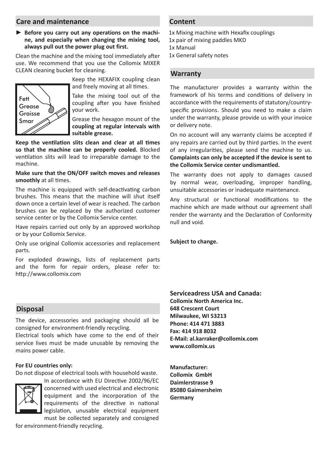#### **Care and maintenance Content**

**► Before you carry out any operations on the machine, and especially when changing the mixing tool, always pull out the power plug out first.**

Clean the machine and the mixing tool immediately after use. We recommend that you use the Collomix MIXER CLEAN cleaning bucket for cleaning.



Keep the HEXAFIX coupling clean and freely moving at all times.

Take the mixing tool out of the coupling after you have finished your work.

Grease the hexagon mount of the **coupling at regular intervals with suitable grease.**

**Keep the ventilation slits clean and clear at all times so that the machine can be properly cooled.** Blocked ventilation slits will lead to irreparable damage to the machine.

**Make sure that the ON/OFF switch moves and releases smoothly** at all times.

The machine is equipped with self-deactivating carbon brushes. This means that the machine will shut itself down once a certain level of wear is reached. The carbon brushes can be replaced by the authorized customer service center or by the Collomix Service center.

Have repairs carried out only by an approved workshop or by your Collomix Service.

Only use original Collomix accessories and replacement parts.

For exploded drawings, lists of replacement parts and the form for repair orders, please refer to: http://www.collomix.com

1x Mixing machine with Hexafix couplings 1x pair of mixing paddles MKD 1x Manual

#### 1x General safety notes

#### **Warranty**

The manufacturer provides a warranty within the framework of his terms and conditions of delivery in accordance with the requirements of statutory/countryspecific provisions. Should you need to make a claim under the warranty, please provide us with your invoice or delivery note.

On no account will any warranty claims be accepted if any repairs are carried out by third parties. In the event of any irregularities, please send the machine to us. **Complaints can only be accepted if the device is sent to the Collomix Service center undismantled.**

The warranty does not apply to damages caused by normal wear, overloading, improper handling, unsuitable accessories or inadequate maintenance.

Any structural or functional modifications to the machine which are made without our agreement shall render the warranty and the Declaration of Conformity null and void.

**Subject to change.**

#### **Disposal**

The device, accessories and packaging should all be consigned for environment-friendly recycling.

Electrical tools which have come to the end of their service lives must be made unusable by removing the mains power cable.

#### **For EU countries only:**

Do not dispose of electrical tools with household waste.



In accordance with EU Directive 2002/96/EC concerned with used electrical and electronic equipment and the incorporation of the requirements of the directive in national legislation, unusable electrical equipment

must be collected separately and consigned for environment-friendly recycling.

**Serviceadress USA and Canada: Collomix North America Inc. 648 Crescent Court Milwaukee, WI 53213 Phone: 414 471 3883 Fax: 414 918 8032 E-Mail: al.karraker@collomix.com www.collomix.us**

**Manufacturer: Collomix GmbH Daimlerstrasse 9 85080 Gaimersheim Germany**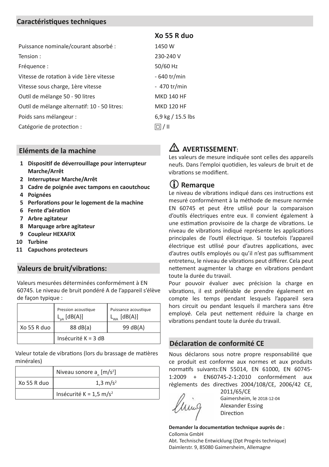#### **Caractéristiques techniques**

|                                              | AU JJ N UUU       |
|----------------------------------------------|-------------------|
| Puissance nominale/courant absorbé :         | 1450 W            |
| Tension:                                     | 230-240 V         |
| Fréquence :                                  | 50/60 Hz          |
| Vitesse de rotation à vide 1ère vitesse      | - 640 tr/min      |
| Vitesse sous charge, 1ère vitesse            | - 470 tr/min      |
| Outil de mélange 50 - 90 litres              | <b>MKD 140 HF</b> |
| Outil de mélange alternatif: 10 - 50 litres: | <b>MKD 120 HF</b> |
| Poids sans mélangeur :                       | 6,9 kg / 15.5 lbs |
| Catégorie de protection :                    | $/ \parallel$     |

#### **Eléments de la machine**

- **1 Dispositif de déverrouillage pour interrupteur Marche/Arrêt**
- **2 Interrupteur Marche/Arrêt**
- **3 Cadre de poignée avec tampons en caoutchouc**
- **4 Poignées**
- **5 Perforations pour le logement de la machine**
- **6 Fente d'aération**
- **7 Arbre agitateur**
- **8 Marquage arbre agitateur**
- **9 Coupleur HEXAFIX**
- **10 Turbine**
- **11 Capuchons protecteurs**

#### **Valeurs de bruit/vibrations:**

Valeurs mesurées déterminées conformément à EN 60745. Le niveau de bruit pondéré A de l'appareil s'élève de façon typique :

|             | Pression acoustique<br>$L_{\rm DA}$ [dB(A)] | Puissance acoustique<br>[dB(A)]<br>►wa |
|-------------|---------------------------------------------|----------------------------------------|
| Xo 55 R duo | 88 dB(a)                                    | 99 dB(A)                               |
|             | Insécurité K = 3 dB                         |                                        |

Valeur totale de vibrations (lors du brassage de matières minérales)

|             | Niveau sonore $a_{n}$ [m/s <sup>2</sup> ] |
|-------------|-------------------------------------------|
| Xo 55 R duo | 1,3 m/s <sup>2</sup>                      |
|             | Insécurité K = 1,5 m/s <sup>2</sup>       |

## **AVERTISSEMENT:**

Les valeurs de mesure indiquée sont celles des appareils neufs. Dans l'emploi quotidien, les valeurs de bruit et de vibrations se modifient.

#### **Remarque**

**Xo 55 R duo**

Le niveau de vibrations indiqué dans ces instructions est mesuré conformément à la méthode de mesure normée EN 60745 et peut être utilisé pour la comparaison d'outils électriques entre eux. Il convient également à une estimation provisoire de la charge de vibrations. Le niveau de vibrations indiqué représente les applications principales de l'outil électrique. Si toutefois l'appareil électrique est utilisé pour d'autres applications, avec d'autres outils employés ou qu'il n'est pas suffisamment entretenu, le niveau de vibrations peut différer. Cela peut nettement augmenter la charge en vibrations pendant toute la durée du travail.

Pour pouvoir évaluer avec précision la charge en vibrations, il est préférable de prendre également en compte les temps pendant lesquels l'appareil sera hors circuit ou pendant lesquels il marchera sans être employé. Cela peut nettement réduire la charge en vibrations pendant toute la durée du travail.

#### **Déclaration de conformité CE**

Nous déclarons sous notre propre responsabilité que ce produit est conforme aux normes et aux produits normatifs suivants:EN 55014, EN 61000, EN 60745- 1:2009 + EN60745-2-1:2010 conformément aux règlements des directives 2004/108/CE, 2006/42 CE,

2011/65/CE Gaimersheim, le 2018-12-04 Alexander Essing Direction

#### **Demander la documentation technique auprès de :** Collomix GmbH

Abt. Technische Entwicklung (Dpt Progrès technique) Daimlerstr. 9, 85080 Gaimersheim, Allemagne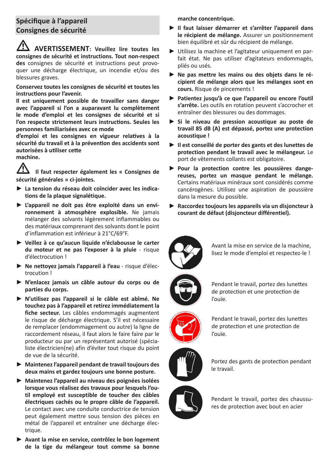#### **Spécifique à l'appareil Consignes de sécurité**

 **AVERTISSEMENT: Veuillez lire toutes les consignes de sécurité et instructions. Tout non-respect des** consignes de sécurité et instructions peut provoquer une décharge électrique, un incendie et/ou des blessures graves.

**Conservez toutes les consignes de sécurité et toutes les instructions pour l'avenir.**

**Il est uniquement possible de travailler sans danger avec l'appareil si l'on a auparavant lu complètement le mode d'emploi et les consignes de sécurité et si l'on respecte strictement leurs instructions. Seules les personnes familiarisées avec ce mode** 

**d'emploi et les consignes en vigueur relatives à la sécurité du travail et à la prévention des accidents sont autorisées à utiliser cette machine.**

 **Il faut respecter également les « Consignes de sécurité générales » ci-jointes.**

- **► La tension du réseau doit coïncider avec les indications de la plaque signalétique.**
- **► L'appareil ne doit pas être exploité dans un environnement à atmosphère explosible.** Ne jamais mélanger des solvants légèrement inflammables ou des matériaux comprenant des solvants dont le point d'inflammation est inférieur à 21°C/69°F.
- **► Veillez à ce qu'aucun liquide n'éclabousse le carter du moteur et ne pas l'exposer à la pluie** - risque d'électrocution !
- **► Ne nettoyez jamais l'appareil à l'eau** risque d'électrocution !
- **► N'enlacez jamais un câble autour du corps ou de parties du corps.**
- **► N'utilisez pas l'appareil si le câble est abîmé. Ne touchez pas à l'appareil et retirez immédiatement la fiche secteur.** Les câbles endommagés augmentent le risque de décharge électrique. S'il est nécessaire de remplacer (endommagement ou autre) la ligne de raccordement réseau, il faut alors le faire faire par le producteur ou par un représentant autorisé (spécialiste électricien(ne) afin d'éviter tout risque du point de vue de la sécurité.
- **► Maintenez l'appareil pendant de travail toujours des deux mains et gardez toujours une bonne posture.**
- **► Maintenez l'appareil au niveau des poignées isolées lorsque vous réalisez des travaux pour lesquels l'outil employé est susceptible de toucher des câbles électriques cachés ou le propre câble de l'appareil.**  Le contact avec une conduite conductrice de tension peut également mettre sous tension des pièces en métal de l'appareil et entraîner une décharge électrique.
- **► Avant la mise en service, contrôlez le bon logement de la tige du mélangeur tout comme sa bonne**

**marche concentrique.**

- **► Il faut laisser démarrer et s'arrêter l'appareil dans le récipient de mélange.** Assurer un positionnement bien équilibré et sûr du récipient de mélange.
- **►** Utilisez la machine et l'agitateur uniquement en parfait état. Ne pas utiliser d'agitateurs endommagés, pliés ou usés.
- **► Ne pas mettre les mains ou des objets dans le récipient de mélange alors que les mélanges sont en cours.** Risque de pincements !
- **► Patientez jusqu'à ce que l'appareil ou encore l'outil s'arrête.** Les outils en rotation peuvent s'accrocher et entraîner des blessures ou des dommages.
- **► Si le niveau de pression acoustique au poste de travail 85 dB (A) est dépassé, portez une protection acoustique !**
- **► Il est conseillé de porter des gants et des lunettes de protection pendant le travail avec le mélangeur.** Le port de vêtements collants est obligatoire.
- **► Pour la protection contre les poussières dangereuses, portez un masque pendant le mélange.**  Certains matériaux minéraux sont considérés comme cancérogènes. Utilisez une aspiration de poussière dans la mesure du possible.
- **► Raccordez toujours les appareils via un disjoncteur à courant de défaut (disjoncteur différentiel).**



Avant la mise en service de la machine, lisez le mode d'emploi et respectez-le !



Pendant le travail, portez des lunettes de protection et une protection de l'ouïe.





Portez des gants de protection pendant le travail.



Pendant le travail, portez des chaussures de protection avec bout en acier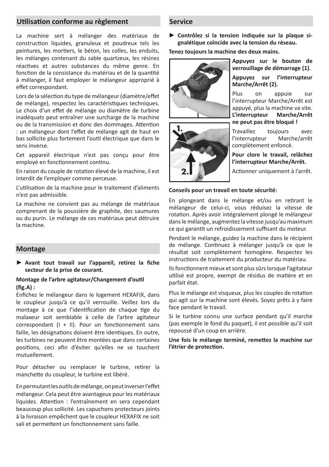#### **Utilisation conforme au règlement**

La machine sert à mélanger des matériaux de construction liquides, granuleux et poudreux tels les peintures, les mortiers, le béton, les colles, les enduits, les mélanges contenant du sable quartzeux, les résines réactives et autres substances du même genre. En fonction de la consistance du matériau et de la quantité à mélanger, il faut employer le mélangeur approprié à effet correspondant.

Lors de la sélection du type de mélangeur (diamètre/effet de mélange), respectez les caractéristiques techniques. Le choix d'un effet de mélange ou diamètre de turbine inadéquats peut entraîner une surcharge de la machine ou de la transmission et donc des dommages. Attention : un mélangeur dont l'effet de mélange agit de haut en bas sollicite plus fortement l'outil électrique que dans le sens inverse.

Cet appareil électrique n'est pas conçu pour être employé en fonctionnement continu.

En raison du couple de rotation élevé de la machine, il est interdit de l'employer comme perceuse.

L'utilisation de la machine pour le traitement d'aliments n'est pas admissible.

La machine ne convient pas au mélange de matériaux comprenant de la poussière de graphite, des saumures ou du purin. Le mélange de ces matériaux peut détruire la machine.

#### **Montage**

**► Avant tout travail sur l'appareil, retirez la fiche secteur de la prise de courant.**

#### **Montage de l'arbre agitateur/Changement d'outil (fig.A) :**

Enfichez le mélangeur dans le logement HEXAFIX, dans le coupleur jusqu'à ce qu'il verrouille. Veillez lors du montage à ce que l'identification de chaque tige du malaxeur soit semblable à celle de l'arbre agitateur correspondant  $(I + II)$ . Pour un fonctionnement sans faille, les désignations doivent être identiques. En outre, les turbines ne peuvent être montées que dans certaines positions, ceci afin d'éviter qu'elles ne se touchent mutuellement.

Pour détacher ou remplacer le turbine, retirer la manchette du coupleur, le turbine est libéré.

En permutant les outils de mélange, on peut inverser l'effet mélangeur. Cela peut être avantageux pour les matériaux liquides. Attention : l'entraînement en sera cependant beaucoup plus sollicité. Les capuchons protecteurs joints à la livraison empêchent que le coupleur HEXAFIX ne soit sali et permettent un fonctionnement sans faille.

#### **Service**

**► Contrôlez si la tension indiquée sur la plaque signalétique coïncide avec la tension du réseau.**

**Tenez toujours la machine des deux mains.** 



**Appuyez sur le bouton de verrouillage de démarrage (1).**

**Appuyez sur l'interrupteur Marche/Arrêt (2).**

Plus on appuie sur l'interrupteur Marche/Arrêt est appuyé, plus la machine va vite.<br>L'interrupteur Marche/Arrêt **Marche/Arrêt ne peut pas être bloqué !**



Travaillez toujours avec l'interrupteur Marche/arrêt complètement enfoncé.

**Pour clore le travail, relâchez l'interrupteur Marche/Arrêt.**

Actionner uniquement à l'arrêt.

#### **Conseils pour un travail en toute sécurité:**

En plongeant dans le mélange et/ou en retirant le mélangeur de celui-ci, vous réduisez la vitesse de rotation. Après avoir intégralement plongé le mélangeur dans le mélange, augmentez la vitesse jusqu'au maximum ce qui garantit un refroidissement suffisant du moteur.

Pendant le mélange, guidez la machine dans le récipient de mélange. Continuez à mélanger jusqu'à ce que le résultat soit complètement homogène. Respectez les instructions de traitement du producteur du matériau.

Ils fonctionnent mieux et sont plus sûrs lorsque l'agitateur utilisé est propre, exempt de résidus de matière et en parfait état.

Plus le mélange est visqueux, plus les couples de rotation qui agit sur la machine sont élevés. Soyez prêts à y faire face pendant le travail.

Si le turbine connu une surface pendant qu'il marche (pas exemple le fond du paquet), il est possible qu'il soit repoussé d'un coup en arrière.

**Une fois le mélange terminé, remettez la machine sur l'étrier de protection.**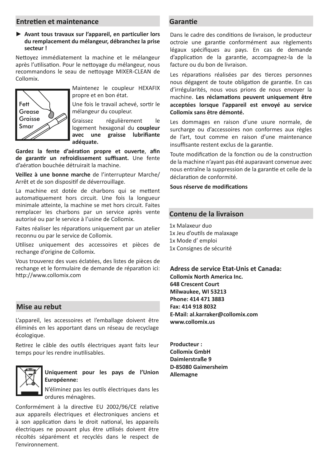#### **Entretien et maintenance Garantie**

#### **► Avant tous travaux sur l'appareil, en particulier lors du remplacement du mélangeur, débranchez la prise secteur !**

Nettoyez immédiatement la machine et le mélangeur après l'utilisation. Pour le nettoyage du mélangeur, nous recommandons le seau de nettoyage MIXER-CLEAN de Collomix.



Maintenez le coupleur HEXAFIX propre et en bon état.

Une fois le travail achevé, sortir le mélangeur du coupleur.

Graissez régulièrement le logement hexagonal du **coupleur avec une graisse lubrifiante adéquate.** 

**Gardez la fente d'aération propre et ouverte**, **afin de garantir un refroidissement suffisant.** Une fente d'aération bouchée détruirait la machine.

**Veillez à une bonne marche** de l'interrupteur Marche/ Arrêt et de son dispositif de déverrouillage.

La machine est dotée de charbons qui se mettent automatiquement hors circuit. Une fois la longueur minimale atteinte, la machine se met hors circuit. Faites remplacer les charbons par un service après vente autorisé ou par le service à l'usine de Collomix.

Faites réaliser les réparations uniquement par un atelier reconnu ou par le service de Collomix.

Utilisez uniquement des accessoires et pièces de rechange d'origine de Collomix.

Vous trouverez des vues éclatées, des listes de pièces de rechange et le formulaire de demande de réparation ici: http://www.collomix.com

#### **Mise au rebut**

L'appareil, les accessoires et l'emballage doivent être éliminés en les apportant dans un réseau de recyclage écologique.

Retirez le câble des outils électriques avant faits leur temps pour les rendre inutilisables.



#### **Uniquement pour les pays de l'Union Européenne:**

N'éliminez pas les outils électriques dans les ordures ménagères.

Conformément à la directive EU 2002/96/CE relative aux appareils électriques et électroniques anciens et à son application dans le droit national, les appareils électriques ne pouvant plus être utilisés doivent être récoltés séparément et recyclés dans le respect de l'environnement.

Dans le cadre des conditions de livraison, le producteur octroie une garantie conformément aux règlements légaux spécifiques au pays. En cas de demande d'application de la garantie, accompagnez-la de la facture ou du bon de livraison.

Les réparations réalisées par des tierces personnes nous dégagent de toute obligation de garantie. En cas d'irrégularités, nous vous prions de nous envoyer la machine. **Les réclamations peuvent uniquement être acceptées lorsque l'appareil est envoyé au service Collomix sans être démonté.**

Les dommages en raison d'une usure normale, de surcharge ou d'accessoires non conformes aux règles de l'art, tout comme en raison d'une maintenance insuffisante restent exclus de la garantie.

Toute modification de la fonction ou de la construction de la machine n'ayant pas été auparavant convenue avec nous entraîne la suppression de la garantie et celle de la déclaration de conformité.

#### **Sous réserve de modifications**

#### **Contenu de la livraison**

1x Malaxeur duo 1x Jeu d'outils de malaxage 1x Mode d' emploi 1x Consignes de sécurité

**Adress de service Etat-Unis et Canada: Collomix North America Inc. 648 Crescent Court Milwaukee, WI 53213 Phone: 414 471 3883 Fax: 414 918 8032 E-Mail: al.karraker@collomix.com www.collomix.us**

**Producteur : Collomix GmbH Daimlerstraße 9 D-85080 Gaimersheim Allemagne**